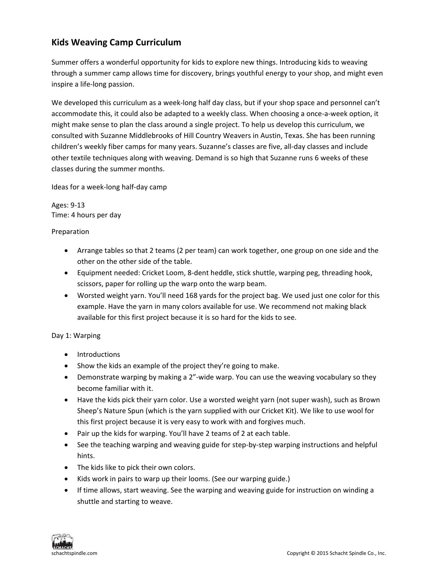## **Kids Weaving Camp Curriculum**

Summer offers a wonderful opportunity for kids to explore new things. Introducing kids to weaving through a summer camp allows time for discovery, brings youthful energy to your shop, and might even inspire a life‐long passion.

We developed this curriculum as a week-long half day class, but if your shop space and personnel can't accommodate this, it could also be adapted to a weekly class. When choosing a once-a-week option, it might make sense to plan the class around a single project. To help us develop this curriculum, we consulted with Suzanne Middlebrooks of Hill Country Weavers in Austin, Texas. She has been running children's weekly fiber camps for many years. Suzanne's classes are five, all‐day classes and include other textile techniques along with weaving. Demand is so high that Suzanne runs 6 weeks of these classes during the summer months.

Ideas for a week‐long half‐day camp

Ages: 9‐13 Time: 4 hours per day

## Preparation

- Arrange tables so that 2 teams (2 per team) can work together, one group on one side and the other on the other side of the table.
- Equipment needed: Cricket Loom, 8‐dent heddle, stick shuttle, warping peg, threading hook, scissors, paper for rolling up the warp onto the warp beam.
- Worsted weight yarn. You'll need 168 yards for the project bag. We used just one color for this example. Have the yarn in many colors available for use. We recommend not making black available for this first project because it is so hard for the kids to see.

## Day 1: Warping

- Introductions
- Show the kids an example of the project they're going to make.
- Demonstrate warping by making a 2"-wide warp. You can use the weaving vocabulary so they become familiar with it.
- Have the kids pick their yarn color. Use a worsted weight yarn (not super wash), such as Brown Sheep's Nature Spun (which is the yarn supplied with our Cricket Kit). We like to use wool for this first project because it is very easy to work with and forgives much.
- Pair up the kids for warping. You'll have 2 teams of 2 at each table.
- See the teaching warping and weaving guide for step-by-step warping instructions and helpful hints.
- The kids like to pick their own colors.
- Kids work in pairs to warp up their looms. (See our warping guide.)
- If time allows, start weaving. See the warping and weaving guide for instruction on winding a shuttle and starting to weave.

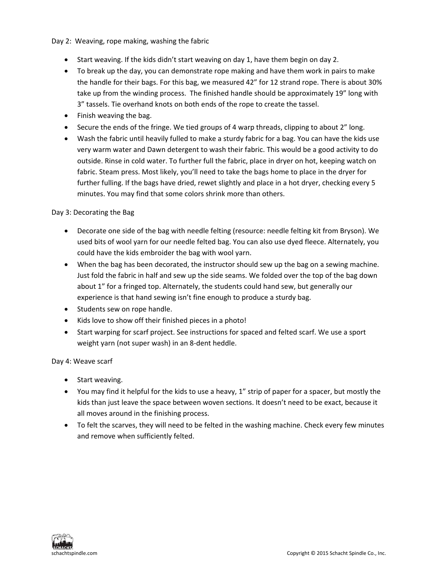Day 2: Weaving, rope making, washing the fabric

- Start weaving. If the kids didn't start weaving on day 1, have them begin on day 2.
- To break up the day, you can demonstrate rope making and have them work in pairs to make the handle for their bags. For this bag, we measured 42" for 12 strand rope. There is about 30% take up from the winding process. The finished handle should be approximately 19" long with 3" tassels. Tie overhand knots on both ends of the rope to create the tassel.
- Finish weaving the bag.
- Secure the ends of the fringe. We tied groups of 4 warp threads, clipping to about 2" long.
- Wash the fabric until heavily fulled to make a sturdy fabric for a bag. You can have the kids use very warm water and Dawn detergent to wash their fabric. This would be a good activity to do outside. Rinse in cold water. To further full the fabric, place in dryer on hot, keeping watch on fabric. Steam press. Most likely, you'll need to take the bags home to place in the dryer for further fulling. If the bags have dried, rewet slightly and place in a hot dryer, checking every 5 minutes. You may find that some colors shrink more than others.

Day 3: Decorating the Bag

- Decorate one side of the bag with needle felting (resource: needle felting kit from Bryson). We used bits of wool yarn for our needle felted bag. You can also use dyed fleece. Alternately, you could have the kids embroider the bag with wool yarn.
- When the bag has been decorated, the instructor should sew up the bag on a sewing machine. Just fold the fabric in half and sew up the side seams. We folded over the top of the bag down about 1" for a fringed top. Alternately, the students could hand sew, but generally our experience is that hand sewing isn't fine enough to produce a sturdy bag.
- Students sew on rope handle.
- Kids love to show off their finished pieces in a photo!
- Start warping for scarf project. See instructions for spaced and felted scarf. We use a sport weight yarn (not super wash) in an 8‐dent heddle.

Day 4: Weave scarf

- Start weaving.
- You may find it helpful for the kids to use a heavy, 1" strip of paper for a spacer, but mostly the kids than just leave the space between woven sections. It doesn't need to be exact, because it all moves around in the finishing process.
- To felt the scarves, they will need to be felted in the washing machine. Check every few minutes and remove when sufficiently felted.